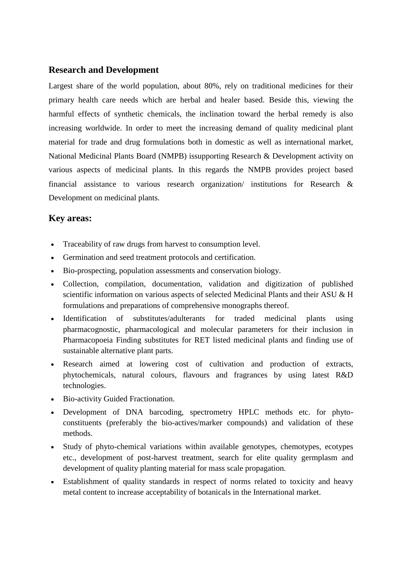### **Research and Development**

Largest share of the world population, about 80%, rely on traditional medicines for their primary health care needs which are herbal and healer based. Beside this, viewing the harmful effects of synthetic chemicals, the inclination toward the herbal remedy is also increasing worldwide. In order to meet the increasing demand of quality medicinal plant material for trade and drug formulations both in domestic as well as international market, National Medicinal Plants Board (NMPB) issupporting Research & Development activity on various aspects of medicinal plants. In this regards the NMPB provides project based financial assistance to various research organization/ institutions for Research & Development on medicinal plants.

#### **Key areas:**

- Traceability of raw drugs from harvest to consumption level.
- Germination and seed treatment protocols and certification.
- Bio-prospecting, population assessments and conservation biology.
- Collection, compilation, documentation, validation and digitization of published scientific information on various aspects of selected Medicinal Plants and their ASU & H formulations and preparations of comprehensive monographs thereof.
- Identification of substitutes/adulterants for traded medicinal plants using pharmacognostic, pharmacological and molecular parameters for their inclusion in Pharmacopoeia Finding substitutes for RET listed medicinal plants and finding use of sustainable alternative plant parts.
- Research aimed at lowering cost of cultivation and production of extracts, phytochemicals, natural colours, flavours and fragrances by using latest R&D technologies.
- Bio-activity Guided Fractionation.
- Development of DNA barcoding, spectrometry HPLC methods etc. for phytoconstituents (preferably the bio-actives/marker compounds) and validation of these methods.
- Study of phyto-chemical variations within available genotypes, chemotypes, ecotypes etc., development of post-harvest treatment, search for elite quality germplasm and development of quality planting material for mass scale propagation.
- Establishment of quality standards in respect of norms related to toxicity and heavy metal content to increase acceptability of botanicals in the International market.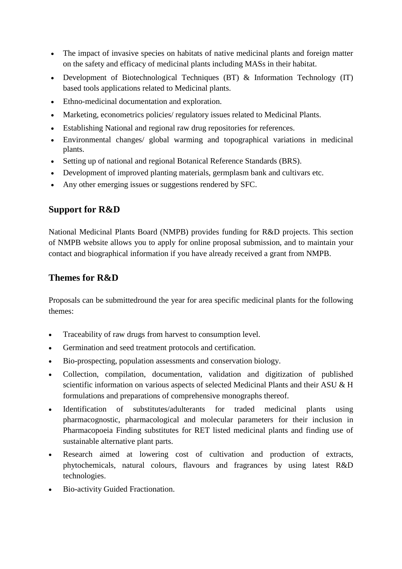- The impact of invasive species on habitats of native medicinal plants and foreign matter on the safety and efficacy of medicinal plants including MASs in their habitat.
- Development of Biotechnological Techniques (BT) & Information Technology (IT) based tools applications related to Medicinal plants.
- Ethno-medicinal documentation and exploration.
- Marketing, econometrics policies/ regulatory issues related to Medicinal Plants.
- Establishing National and regional raw drug repositories for references.
- Environmental changes/ global warming and topographical variations in medicinal plants.
- Setting up of national and regional Botanical Reference Standards (BRS).
- Development of improved planting materials, germplasm bank and cultivars etc.
- Any other emerging issues or suggestions rendered by SFC.

# **Support for R&D**

National Medicinal Plants Board (NMPB) provides funding for R&D projects. This section of NMPB website allows you to apply for online proposal submission, and to maintain your contact and biographical information if you have already received a grant from NMPB.

# **Themes for R&D**

Proposals can be submittedround the year for area specific medicinal plants for the following themes:

- Traceability of raw drugs from harvest to consumption level.
- Germination and seed treatment protocols and certification.
- Bio-prospecting, population assessments and conservation biology.
- Collection, compilation, documentation, validation and digitization of published scientific information on various aspects of selected Medicinal Plants and their ASU & H formulations and preparations of comprehensive monographs thereof.
- Identification of substitutes/adulterants for traded medicinal plants using pharmacognostic, pharmacological and molecular parameters for their inclusion in Pharmacopoeia Finding substitutes for RET listed medicinal plants and finding use of sustainable alternative plant parts.
- Research aimed at lowering cost of cultivation and production of extracts, phytochemicals, natural colours, flavours and fragrances by using latest R&D technologies.
- Bio-activity Guided Fractionation.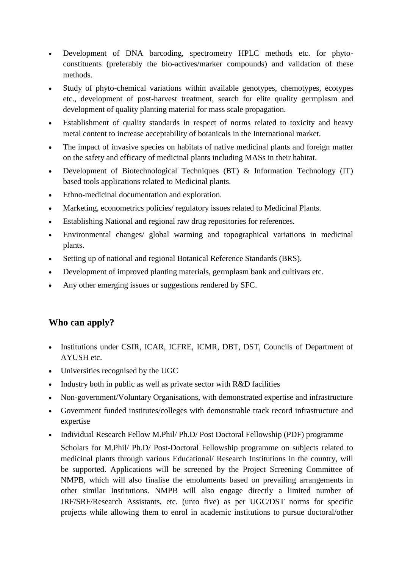- Development of DNA barcoding, spectrometry HPLC methods etc. for phytoconstituents (preferably the bio-actives/marker compounds) and validation of these methods.
- Study of phyto-chemical variations within available genotypes, chemotypes, ecotypes etc., development of post-harvest treatment, search for elite quality germplasm and development of quality planting material for mass scale propagation.
- Establishment of quality standards in respect of norms related to toxicity and heavy metal content to increase acceptability of botanicals in the International market.
- The impact of invasive species on habitats of native medicinal plants and foreign matter on the safety and efficacy of medicinal plants including MASs in their habitat.
- Development of Biotechnological Techniques (BT) & Information Technology (IT) based tools applications related to Medicinal plants.
- Ethno-medicinal documentation and exploration.
- Marketing, econometrics policies/ regulatory issues related to Medicinal Plants.
- Establishing National and regional raw drug repositories for references.
- Environmental changes/ global warming and topographical variations in medicinal plants.
- Setting up of national and regional Botanical Reference Standards (BRS).
- Development of improved planting materials, germplasm bank and cultivars etc.
- Any other emerging issues or suggestions rendered by SFC.

# **Who can apply?**

- Institutions under CSIR, ICAR, ICFRE, ICMR, DBT, DST, Councils of Department of AYUSH etc.
- Universities recognised by the UGC
- $\bullet$  Industry both in public as well as private sector with R&D facilities
- Non-government/Voluntary Organisations, with demonstrated expertise and infrastructure
- Government funded institutes/colleges with demonstrable track record infrastructure and expertise
- Individual Research Fellow M.Phil/ Ph.D/ Post Doctoral Fellowship (PDF) programme
	- Scholars for M.Phil/ Ph.D/ Post-Doctoral Fellowship programme on subjects related to medicinal plants through various Educational/ Research Institutions in the country, will be supported. Applications will be screened by the Project Screening Committee of NMPB, which will also finalise the emoluments based on prevailing arrangements in other similar Institutions. NMPB will also engage directly a limited number of JRF/SRF/Research Assistants, etc. (unto five) as per UGC/DST norms for specific projects while allowing them to enrol in academic institutions to pursue doctoral/other